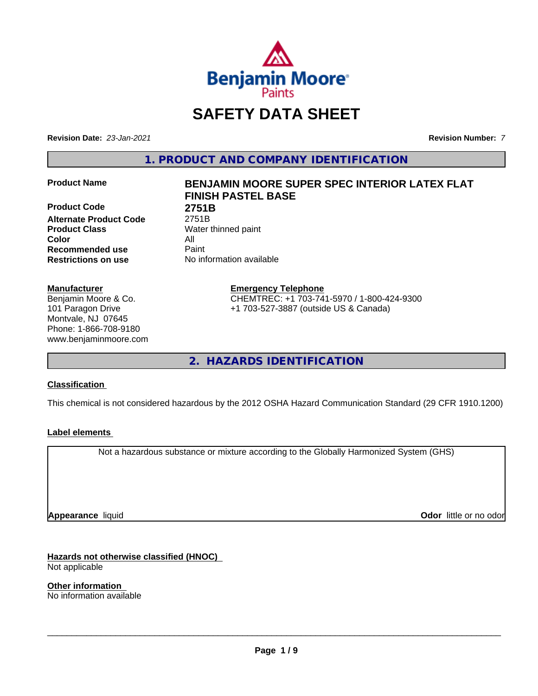

# **SAFETY DATA SHEET**

**Revision Date:** *23-Jan-2021* **Revision Number:** *7*

**1. PRODUCT AND COMPANY IDENTIFICATION**

**Product Code 2751B Alternate Product Code** 2751B **Product Class** Water thinned paint **Color** All **Recommended use** Paint **Restrictions on use** No information available

#### **Manufacturer**

Benjamin Moore & Co. 101 Paragon Drive Montvale, NJ 07645 Phone: 1-866-708-9180 www.benjaminmoore.com

# **Product Name BENJAMIN MOORE SUPER SPEC INTERIOR LATEX FLAT FINISH PASTEL BASE**

**Emergency Telephone** CHEMTREC: +1 703-741-5970 / 1-800-424-9300 +1 703-527-3887 (outside US & Canada)

**2. HAZARDS IDENTIFICATION**

#### **Classification**

This chemical is not considered hazardous by the 2012 OSHA Hazard Communication Standard (29 CFR 1910.1200)

#### **Label elements**

Not a hazardous substance or mixture according to the Globally Harmonized System (GHS)

**Appearance** liquid

**Odor** little or no odor

**Hazards not otherwise classified (HNOC)** Not applicable

**Other information** No information available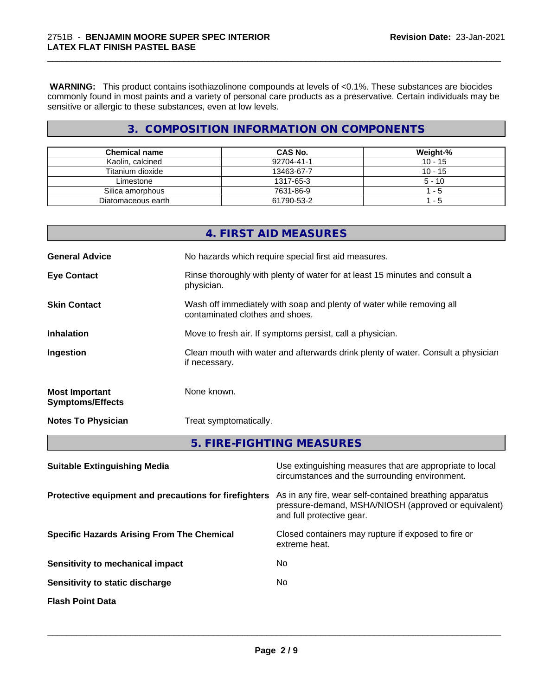**WARNING:** This product contains isothiazolinone compounds at levels of <0.1%. These substances are biocides commonly found in most paints and a variety of personal care products as a preservative. Certain individuals may be sensitive or allergic to these substances, even at low levels.

\_\_\_\_\_\_\_\_\_\_\_\_\_\_\_\_\_\_\_\_\_\_\_\_\_\_\_\_\_\_\_\_\_\_\_\_\_\_\_\_\_\_\_\_\_\_\_\_\_\_\_\_\_\_\_\_\_\_\_\_\_\_\_\_\_\_\_\_\_\_\_\_\_\_\_\_\_\_\_\_\_\_\_\_\_\_\_\_\_\_\_\_\_

# **3. COMPOSITION INFORMATION ON COMPONENTS**

| <b>Chemical name</b> | <b>CAS No.</b> | Weight-%  |
|----------------------|----------------|-----------|
| Kaolin, calcined     | 92704-41-1     | $10 - 15$ |
| Titanium dioxide     | 13463-67-7     | $10 - 15$ |
| Limestone            | 1317-65-3      | $5 - 10$  |
| Silica amorphous     | 7631-86-9      | - 5       |
| Diatomaceous earth   | 61790-53-2     | - 5       |

|                                                  | 4. FIRST AID MEASURES                                                                                    |
|--------------------------------------------------|----------------------------------------------------------------------------------------------------------|
| <b>General Advice</b>                            | No hazards which require special first aid measures.                                                     |
| <b>Eye Contact</b>                               | Rinse thoroughly with plenty of water for at least 15 minutes and consult a<br>physician.                |
| <b>Skin Contact</b>                              | Wash off immediately with soap and plenty of water while removing all<br>contaminated clothes and shoes. |
| <b>Inhalation</b>                                | Move to fresh air. If symptoms persist, call a physician.                                                |
| Ingestion                                        | Clean mouth with water and afterwards drink plenty of water. Consult a physician<br>if necessary.        |
| <b>Most Important</b><br><b>Symptoms/Effects</b> | None known.                                                                                              |
| <b>Notes To Physician</b>                        | Treat symptomatically.                                                                                   |
|                                                  | 5. FIRE-FIGHTING MEASURES                                                                                |

| <b>Suitable Extinguishing Media</b>                   | Use extinguishing measures that are appropriate to local<br>circumstances and the surrounding environment.                                   |
|-------------------------------------------------------|----------------------------------------------------------------------------------------------------------------------------------------------|
| Protective equipment and precautions for firefighters | As in any fire, wear self-contained breathing apparatus<br>pressure-demand, MSHA/NIOSH (approved or equivalent)<br>and full protective gear. |
| <b>Specific Hazards Arising From The Chemical</b>     | Closed containers may rupture if exposed to fire or<br>extreme heat.                                                                         |
| Sensitivity to mechanical impact                      | No.                                                                                                                                          |
| Sensitivity to static discharge                       | No.                                                                                                                                          |
| <b>Flash Point Data</b>                               |                                                                                                                                              |
|                                                       |                                                                                                                                              |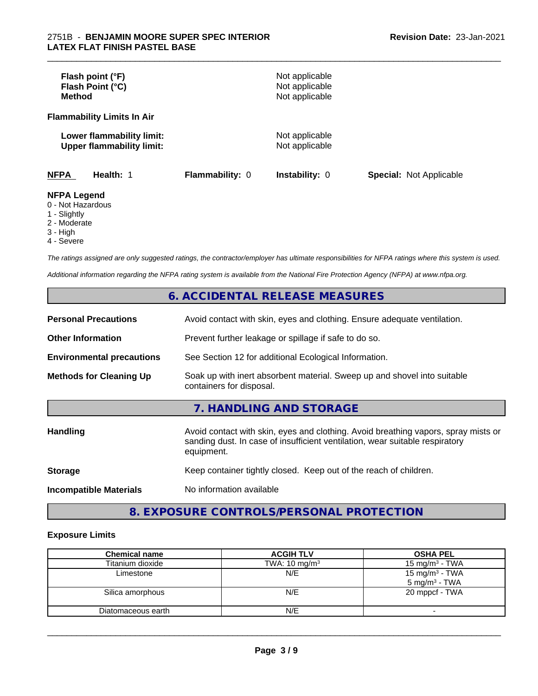| Flash point (°F)<br>Flash Point (°C)<br>Method                |                        | Not applicable<br>Not applicable<br>Not applicable |                                |
|---------------------------------------------------------------|------------------------|----------------------------------------------------|--------------------------------|
| <b>Flammability Limits In Air</b>                             |                        |                                                    |                                |
| Lower flammability limit:<br><b>Upper flammability limit:</b> |                        | Not applicable<br>Not applicable                   |                                |
| <b>NFPA</b><br>Health: 1                                      | <b>Flammability: 0</b> | <b>Instability: 0</b>                              | <b>Special: Not Applicable</b> |
| <b>NFPA Legend</b><br>0 - Not Hazardous<br>1 Clinhthy         |                        |                                                    |                                |

\_\_\_\_\_\_\_\_\_\_\_\_\_\_\_\_\_\_\_\_\_\_\_\_\_\_\_\_\_\_\_\_\_\_\_\_\_\_\_\_\_\_\_\_\_\_\_\_\_\_\_\_\_\_\_\_\_\_\_\_\_\_\_\_\_\_\_\_\_\_\_\_\_\_\_\_\_\_\_\_\_\_\_\_\_\_\_\_\_\_\_\_\_

1 - Slightly

2 - Moderate

3 - High

4 - Severe

*The ratings assigned are only suggested ratings, the contractor/employer has ultimate responsibilities for NFPA ratings where this system is used.*

*Additional information regarding the NFPA rating system is available from the National Fire Protection Agency (NFPA) at www.nfpa.org.*

# **6. ACCIDENTAL RELEASE MEASURES**

| <b>Personal Precautions</b>      | Avoid contact with skin, eyes and clothing. Ensure adequate ventilation.                                                                                                         |  |  |
|----------------------------------|----------------------------------------------------------------------------------------------------------------------------------------------------------------------------------|--|--|
| <b>Other Information</b>         | Prevent further leakage or spillage if safe to do so.                                                                                                                            |  |  |
| <b>Environmental precautions</b> | See Section 12 for additional Ecological Information.                                                                                                                            |  |  |
| <b>Methods for Cleaning Up</b>   | Soak up with inert absorbent material. Sweep up and shovel into suitable<br>containers for disposal.                                                                             |  |  |
|                                  | 7. HANDLING AND STORAGE                                                                                                                                                          |  |  |
| <b>Handling</b>                  | Avoid contact with skin, eyes and clothing. Avoid breathing vapors, spray mists or<br>sanding dust. In case of insufficient ventilation, wear suitable respiratory<br>equipment. |  |  |
| <b>Storage</b>                   | Keep container tightly closed. Keep out of the reach of children.                                                                                                                |  |  |
| <b>Incompatible Materials</b>    | No information available                                                                                                                                                         |  |  |

# **8. EXPOSURE CONTROLS/PERSONAL PROTECTION**

#### **Exposure Limits**

| <b>Chemical name</b> | <b>ACGIH TLV</b>         | <b>OSHA PEL</b>                               |
|----------------------|--------------------------|-----------------------------------------------|
| Titanium dioxide     | TWA: $10 \text{ mg/m}^3$ | 15 mg/m $3$ - TWA                             |
| Limestone            | N/E                      | 15 mg/m $3$ - TWA<br>$5 \text{ mg/m}^3$ - TWA |
| Silica amorphous     | N/E                      | 20 mppcf - TWA                                |
| Diatomaceous earth   | N/E                      |                                               |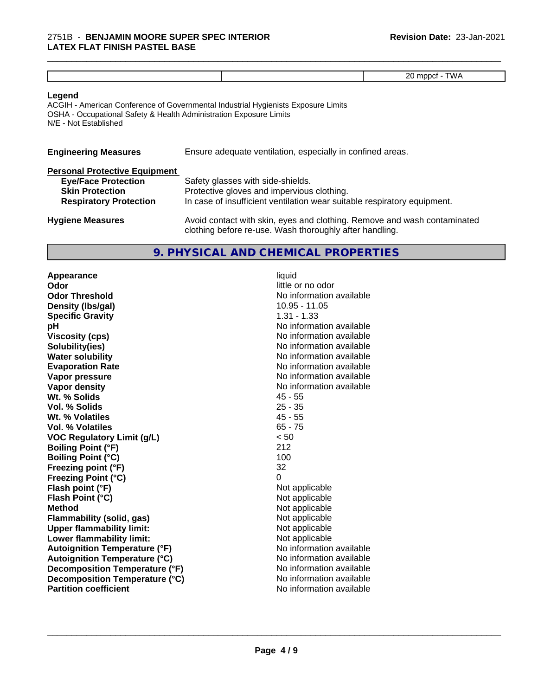|  | ₹. |
|--|----|

\_\_\_\_\_\_\_\_\_\_\_\_\_\_\_\_\_\_\_\_\_\_\_\_\_\_\_\_\_\_\_\_\_\_\_\_\_\_\_\_\_\_\_\_\_\_\_\_\_\_\_\_\_\_\_\_\_\_\_\_\_\_\_\_\_\_\_\_\_\_\_\_\_\_\_\_\_\_\_\_\_\_\_\_\_\_\_\_\_\_\_\_\_

#### **Legend**

ACGIH - American Conference of Governmental Industrial Hygienists Exposure Limits OSHA - Occupational Safety & Health Administration Exposure Limits N/E - Not Established

| <b>Engineering Measures</b>          | Ensure adequate ventilation, especially in confined areas. |
|--------------------------------------|------------------------------------------------------------|
| <b>Personal Protective Equipment</b> |                                                            |
| <b>Eye/Face Protection</b>           | Safety glasses with side-shields.                          |
| <b>Skin Protection</b>               | Protective gloves and impervious clothing.                 |

**Respiratory Protection** In case of insufficient ventilation wear suitable respiratory equipment.

| <b>Hygiene Measures</b> | Avoid contact with skin, eyes and clothing. Remove and wash contaminated |
|-------------------------|--------------------------------------------------------------------------|
|                         | clothing before re-use. Wash thoroughly after handling.                  |

# **9. PHYSICAL AND CHEMICAL PROPERTIES**

**Appearance** liquid **Odor** little or no odor **Odor Threshold No information available No information available Density (Ibs/gal)** 10.95 - 11.05 **Specific Gravity** 1.31 - 1.33 **pH pH**  $\blacksquare$ **Viscosity (cps)** No information available **Solubility(ies)** No information available **Water solubility Water solubility Water solubility Water solubility Water solubility Water solution Evaporation Rate No information available No information available Vapor pressure** No information available **Vapor density Vapor** density **Wt. % Solids** 45 - 55 **Vol. % Solids** 25 - 35 **Wt. % Volatiles Vol. % Volatiles** 65 - 75 **VOC Regulatory Limit (g/L)** < 50 **Boiling Point (°F)** 212 **Boiling Point (°C)** 100 **Freezing point (°F)** 32 **Freezing Point (°C)**<br> **Flash point (°F)**<br> **Flash point (°F)**<br> **Point (°F)**<br> **Point (°F)**<br> **Point (°F)**<br> **Point (°F) Flash point (°F)**<br> **Flash Point (°C)**<br> **Flash Point (°C)**<br> **C Flash Point (°C) Method**<br> **Flammability (solid, gas)**<br> **Example 2018** Not applicable **Flammability (solid, gas)** Not applicable<br> **Upper flammability limit:** Not applicable **Upper flammability limit: Lower flammability limit:** Not applicable **Autoignition Temperature (°F)** No information available **Autoignition Temperature (°C)** No information available **Decomposition Temperature (°F)** No information available **Decomposition Temperature (°C)** No information available **Partition coefficient** No information available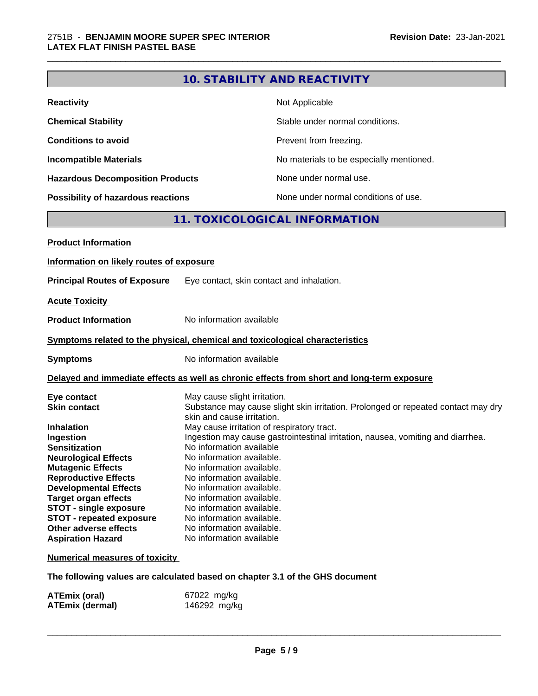|                                                                                                                                                                                                                                                                                                                                                                                                                                |                                                                                                                                                                                                                                                                                                                                                                                                          | <b>10. STABILITY AND REACTIVITY</b>                                                                                                                                  |
|--------------------------------------------------------------------------------------------------------------------------------------------------------------------------------------------------------------------------------------------------------------------------------------------------------------------------------------------------------------------------------------------------------------------------------|----------------------------------------------------------------------------------------------------------------------------------------------------------------------------------------------------------------------------------------------------------------------------------------------------------------------------------------------------------------------------------------------------------|----------------------------------------------------------------------------------------------------------------------------------------------------------------------|
| <b>Reactivity</b>                                                                                                                                                                                                                                                                                                                                                                                                              |                                                                                                                                                                                                                                                                                                                                                                                                          | Not Applicable                                                                                                                                                       |
| <b>Chemical Stability</b>                                                                                                                                                                                                                                                                                                                                                                                                      |                                                                                                                                                                                                                                                                                                                                                                                                          | Stable under normal conditions.                                                                                                                                      |
| <b>Conditions to avoid</b>                                                                                                                                                                                                                                                                                                                                                                                                     |                                                                                                                                                                                                                                                                                                                                                                                                          | Prevent from freezing.                                                                                                                                               |
| <b>Incompatible Materials</b>                                                                                                                                                                                                                                                                                                                                                                                                  |                                                                                                                                                                                                                                                                                                                                                                                                          | No materials to be especially mentioned.                                                                                                                             |
| <b>Hazardous Decomposition Products</b>                                                                                                                                                                                                                                                                                                                                                                                        |                                                                                                                                                                                                                                                                                                                                                                                                          | None under normal use.                                                                                                                                               |
| Possibility of hazardous reactions                                                                                                                                                                                                                                                                                                                                                                                             |                                                                                                                                                                                                                                                                                                                                                                                                          | None under normal conditions of use.                                                                                                                                 |
|                                                                                                                                                                                                                                                                                                                                                                                                                                |                                                                                                                                                                                                                                                                                                                                                                                                          | 11. TOXICOLOGICAL INFORMATION                                                                                                                                        |
| <b>Product Information</b>                                                                                                                                                                                                                                                                                                                                                                                                     |                                                                                                                                                                                                                                                                                                                                                                                                          |                                                                                                                                                                      |
| Information on likely routes of exposure                                                                                                                                                                                                                                                                                                                                                                                       |                                                                                                                                                                                                                                                                                                                                                                                                          |                                                                                                                                                                      |
| <b>Principal Routes of Exposure</b>                                                                                                                                                                                                                                                                                                                                                                                            | Eye contact, skin contact and inhalation.                                                                                                                                                                                                                                                                                                                                                                |                                                                                                                                                                      |
|                                                                                                                                                                                                                                                                                                                                                                                                                                |                                                                                                                                                                                                                                                                                                                                                                                                          |                                                                                                                                                                      |
| <b>Acute Toxicity</b>                                                                                                                                                                                                                                                                                                                                                                                                          |                                                                                                                                                                                                                                                                                                                                                                                                          |                                                                                                                                                                      |
| <b>Product Information</b>                                                                                                                                                                                                                                                                                                                                                                                                     | No information available                                                                                                                                                                                                                                                                                                                                                                                 |                                                                                                                                                                      |
| Symptoms related to the physical, chemical and toxicological characteristics                                                                                                                                                                                                                                                                                                                                                   |                                                                                                                                                                                                                                                                                                                                                                                                          |                                                                                                                                                                      |
| <b>Symptoms</b>                                                                                                                                                                                                                                                                                                                                                                                                                | No information available                                                                                                                                                                                                                                                                                                                                                                                 |                                                                                                                                                                      |
|                                                                                                                                                                                                                                                                                                                                                                                                                                |                                                                                                                                                                                                                                                                                                                                                                                                          | Delayed and immediate effects as well as chronic effects from short and long-term exposure                                                                           |
| Eye contact<br><b>Skin contact</b><br><b>Inhalation</b><br>Ingestion<br><b>Sensitization</b><br><b>Neurological Effects</b><br><b>Mutagenic Effects</b><br><b>Reproductive Effects</b><br><b>Developmental Effects</b><br><b>Target organ effects</b><br><b>STOT - single exposure</b><br><b>STOT - repeated exposure</b><br><b>Other adverse effects</b><br><b>Aspiration Hazard</b><br><b>Numerical measures of toxicity</b> | May cause slight irritation.<br>skin and cause irritation.<br>May cause irritation of respiratory tract.<br>No information available<br>No information available.<br>No information available.<br>No information available.<br>No information available.<br>No information available.<br>No information available.<br>No information available.<br>No information available.<br>No information available | Substance may cause slight skin irritation. Prolonged or repeated contact may dry<br>Ingestion may cause gastrointestinal irritation, nausea, vomiting and diarrhea. |
| The following values are calculated based on chapter 3.1 of the GHS document                                                                                                                                                                                                                                                                                                                                                   |                                                                                                                                                                                                                                                                                                                                                                                                          |                                                                                                                                                                      |
|                                                                                                                                                                                                                                                                                                                                                                                                                                |                                                                                                                                                                                                                                                                                                                                                                                                          |                                                                                                                                                                      |

\_\_\_\_\_\_\_\_\_\_\_\_\_\_\_\_\_\_\_\_\_\_\_\_\_\_\_\_\_\_\_\_\_\_\_\_\_\_\_\_\_\_\_\_\_\_\_\_\_\_\_\_\_\_\_\_\_\_\_\_\_\_\_\_\_\_\_\_\_\_\_\_\_\_\_\_\_\_\_\_\_\_\_\_\_\_\_\_\_\_\_\_\_

| ATEmix (oral)          | 67022 mg/kg  |
|------------------------|--------------|
| <b>ATEmix (dermal)</b> | 146292 mg/kg |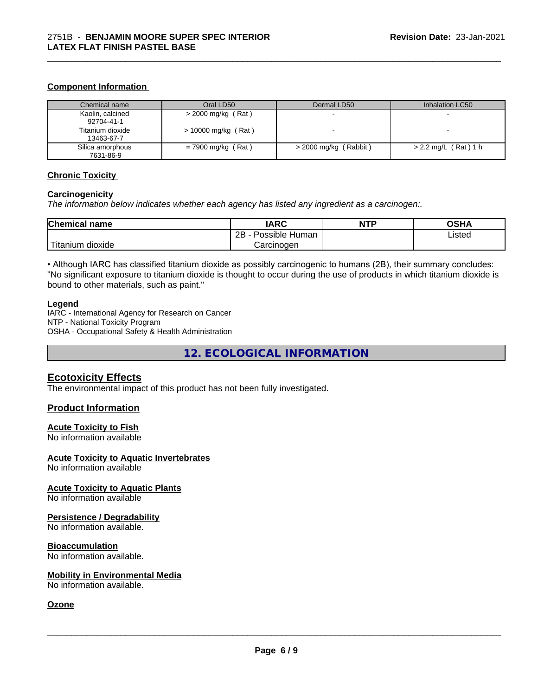#### **Component Information**

| Chemical name                  | Oral LD50             | Dermal LD50             | Inhalation LC50        |
|--------------------------------|-----------------------|-------------------------|------------------------|
| Kaolin, calcined<br>92704-41-1 | $>$ 2000 mg/kg (Rat)  |                         |                        |
| Titanium dioxide<br>13463-67-7 | $> 10000$ mg/kg (Rat) |                         |                        |
| Silica amorphous<br>7631-86-9  | $= 7900$ mg/kg (Rat)  | $>$ 2000 mg/kg (Rabbit) | $> 2.2$ mg/L (Rat) 1 h |

\_\_\_\_\_\_\_\_\_\_\_\_\_\_\_\_\_\_\_\_\_\_\_\_\_\_\_\_\_\_\_\_\_\_\_\_\_\_\_\_\_\_\_\_\_\_\_\_\_\_\_\_\_\_\_\_\_\_\_\_\_\_\_\_\_\_\_\_\_\_\_\_\_\_\_\_\_\_\_\_\_\_\_\_\_\_\_\_\_\_\_\_\_

#### **Chronic Toxicity**

#### **Carcinogenicity**

*The information below indicateswhether each agency has listed any ingredient as a carcinogen:.*

| <b>Chemical name</b>         | <b>IARC</b>                    | <b>NTP</b> | <b>OCUA</b><br>שטש |
|------------------------------|--------------------------------|------------|--------------------|
|                              | .<br>2B<br>Possible<br>⊧ Human |            | Listed<br>.        |
| نت ا<br>dioxide<br>l itanium | Carcinogen                     |            |                    |

• Although IARC has classified titanium dioxide as possibly carcinogenic to humans (2B), their summary concludes: "No significant exposure to titanium dioxide is thought to occur during the use of products in which titanium dioxide is bound to other materials, such as paint."

#### **Legend**

IARC - International Agency for Research on Cancer NTP - National Toxicity Program OSHA - Occupational Safety & Health Administration

**12. ECOLOGICAL INFORMATION**

#### **Ecotoxicity Effects**

The environmental impact of this product has not been fully investigated.

#### **Product Information**

#### **Acute Toxicity to Fish**

No information available

#### **Acute Toxicity to Aquatic Invertebrates**

No information available

#### **Acute Toxicity to Aquatic Plants**

No information available

#### **Persistence / Degradability**

No information available.

#### **Bioaccumulation**

No information available.

#### **Mobility in Environmental Media**

No information available.

# **Ozone**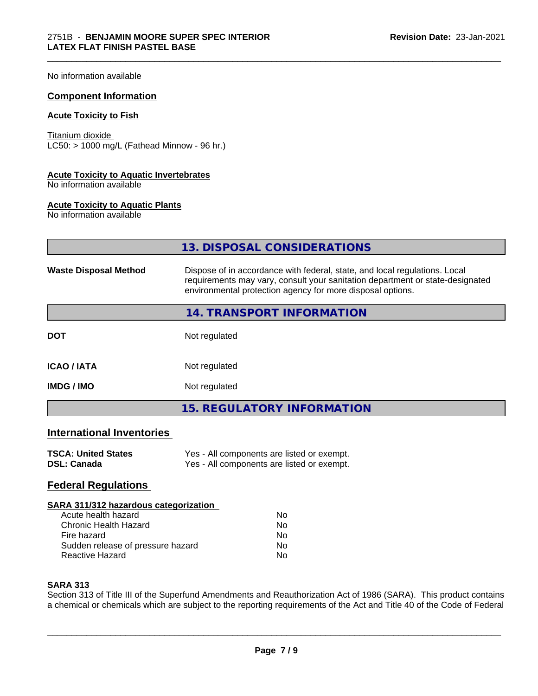No information available

#### **Component Information**

#### **Acute Toxicity to Fish**

Titanium dioxide  $LC50: > 1000$  mg/L (Fathead Minnow - 96 hr.)

#### **Acute Toxicity to Aquatic Invertebrates**

No information available

#### **Acute Toxicity to Aquatic Plants**

No information available

|                                  | 13. DISPOSAL CONSIDERATIONS                                                                                                                                                                                               |  |
|----------------------------------|---------------------------------------------------------------------------------------------------------------------------------------------------------------------------------------------------------------------------|--|
| <b>Waste Disposal Method</b>     | Dispose of in accordance with federal, state, and local regulations. Local<br>requirements may vary, consult your sanitation department or state-designated<br>environmental protection agency for more disposal options. |  |
|                                  | 14. TRANSPORT INFORMATION                                                                                                                                                                                                 |  |
| <b>DOT</b>                       | Not regulated                                                                                                                                                                                                             |  |
| <b>ICAO / IATA</b>               | Not regulated                                                                                                                                                                                                             |  |
| <b>IMDG / IMO</b>                | Not regulated                                                                                                                                                                                                             |  |
|                                  | <b>15. REGULATORY INFORMATION</b>                                                                                                                                                                                         |  |
| <b>International Inventories</b> |                                                                                                                                                                                                                           |  |
| <b>TSCA: United States</b>       | Yes - All components are listed or exempt.                                                                                                                                                                                |  |

\_\_\_\_\_\_\_\_\_\_\_\_\_\_\_\_\_\_\_\_\_\_\_\_\_\_\_\_\_\_\_\_\_\_\_\_\_\_\_\_\_\_\_\_\_\_\_\_\_\_\_\_\_\_\_\_\_\_\_\_\_\_\_\_\_\_\_\_\_\_\_\_\_\_\_\_\_\_\_\_\_\_\_\_\_\_\_\_\_\_\_\_\_

| TOUA. UNITED STATES | res - All components are ilsted or exempt. |
|---------------------|--------------------------------------------|
| DSL: Canada         | Yes - All components are listed or exempt. |

# **Federal Regulations**

#### **SARA 311/312 hazardous categorization**

| Acute health hazard               | Nο |  |
|-----------------------------------|----|--|
| Chronic Health Hazard             | Nο |  |
| Fire hazard                       | Nο |  |
| Sudden release of pressure hazard | N٥ |  |
| Reactive Hazard                   | N٥ |  |

# **SARA 313**

Section 313 of Title III of the Superfund Amendments and Reauthorization Act of 1986 (SARA). This product contains a chemical or chemicals which are subject to the reporting requirements of the Act and Title 40 of the Code of Federal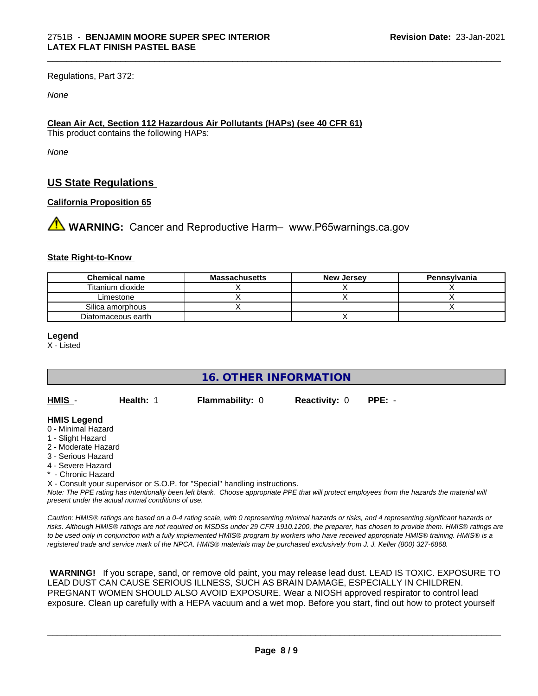Regulations, Part 372:

*None*

### **Clean Air Act,Section 112 Hazardous Air Pollutants (HAPs) (see 40 CFR 61)**

This product contains the following HAPs:

*None*

# **US State Regulations**

### **California Proposition 65**

**AVIMARNING:** Cancer and Reproductive Harm– www.P65warnings.ca.gov

#### **State Right-to-Know**

| <b>Chemical name</b> | Massachusetts | <b>New Jersey</b> | Pennsylvania |
|----------------------|---------------|-------------------|--------------|
| Titanium dioxide     |               |                   |              |
| ∟imestone            |               |                   |              |
| Silica amorphous     |               |                   |              |
| Diatomaceous earth   |               |                   |              |

\_\_\_\_\_\_\_\_\_\_\_\_\_\_\_\_\_\_\_\_\_\_\_\_\_\_\_\_\_\_\_\_\_\_\_\_\_\_\_\_\_\_\_\_\_\_\_\_\_\_\_\_\_\_\_\_\_\_\_\_\_\_\_\_\_\_\_\_\_\_\_\_\_\_\_\_\_\_\_\_\_\_\_\_\_\_\_\_\_\_\_\_\_

**Legend**

X - Listed

**16. OTHER INFORMATION**

| HMIS - | Health: 1 | <b>Flammability: 0</b> | <b>Reactivity: 0 PPE: -</b> |  |
|--------|-----------|------------------------|-----------------------------|--|
|--------|-----------|------------------------|-----------------------------|--|

#### **HMIS Legend**

- 0 Minimal Hazard
- 1 Slight Hazard
- 2 Moderate Hazard
- 3 Serious Hazard
- 4 Severe Hazard
- \* Chronic Hazard

X - Consult your supervisor or S.O.P. for "Special" handling instructions.

*Note: The PPE rating has intentionally been left blank. Choose appropriate PPE that will protect employees from the hazards the material will present under the actual normal conditions of use.*

*Caution: HMISÒ ratings are based on a 0-4 rating scale, with 0 representing minimal hazards or risks, and 4 representing significant hazards or risks. Although HMISÒ ratings are not required on MSDSs under 29 CFR 1910.1200, the preparer, has chosen to provide them. HMISÒ ratings are to be used only in conjunction with a fully implemented HMISÒ program by workers who have received appropriate HMISÒ training. HMISÒ is a registered trade and service mark of the NPCA. HMISÒ materials may be purchased exclusively from J. J. Keller (800) 327-6868.*

 **WARNING!** If you scrape, sand, or remove old paint, you may release lead dust. LEAD IS TOXIC. EXPOSURE TO LEAD DUST CAN CAUSE SERIOUS ILLNESS, SUCH AS BRAIN DAMAGE, ESPECIALLY IN CHILDREN. PREGNANT WOMEN SHOULD ALSO AVOID EXPOSURE.Wear a NIOSH approved respirator to control lead exposure. Clean up carefully with a HEPA vacuum and a wet mop. Before you start, find out how to protect yourself